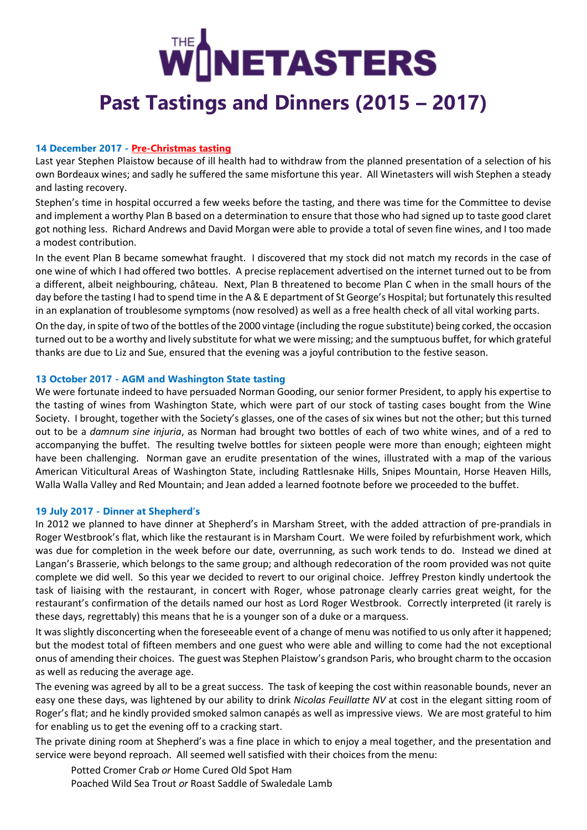# **NETASTERS Past Tastings and Dinners (2015 – 2017)**

## **14 December 2017 - [Pre-Christmas tasting](https://docs.wixstatic.com/ugd/62eacc_21b8f69c3a684c8f989613054550c1c0.pdf)**

Last year Stephen Plaistow because of ill health had to withdraw from the planned presentation of a selection of his own Bordeaux wines; and sadly he suffered the same misfortune this year. All Winetasters will wish Stephen a steady and lasting recovery.

Stephen's time in hospital occurred a few weeks before the tasting, and there was time for the Committee to devise and implement a worthy Plan B based on a determination to ensure that those who had signed up to taste good claret got nothing less. Richard Andrews and David Morgan were able to provide a total of seven fine wines, and I too made a modest contribution.

In the event Plan B became somewhat fraught. I discovered that my stock did not match my records in the case of one wine of which I had offered two bottles. A precise replacement advertised on the internet turned out to be from a different, albeit neighbouring, château. Next, Plan B threatened to become Plan C when in the small hours of the day before the tasting I had to spend time in the A & E department of St George's Hospital; but fortunately this resulted in an explanation of troublesome symptoms (now resolved) as well as a free health check of all vital working parts.

On the day, in spite of two of the bottles of the 2000 vintage (including the rogue substitute) being corked, the occasion turned out to be a worthy and lively substitute for what we were missing; and the sumptuous buffet, for which grateful thanks are due to Liz and Sue, ensured that the evening was a joyful contribution to the festive season.

## **13 October 2017 - AGM and Washington State tasting**

We were fortunate indeed to have persuaded Norman Gooding, our senior former President, to apply his expertise to the tasting of wines from Washington State, which were part of our stock of tasting cases bought from the Wine Society. I brought, together with the Society's glasses, one of the cases of six wines but not the other; but this turned out to be a *damnum sine injuria*, as Norman had brought two bottles of each of two white wines, and of a red to accompanying the buffet. The resulting twelve bottles for sixteen people were more than enough; eighteen might have been challenging. Norman gave an erudite presentation of the wines, illustrated with a map of the various American Viticultural Areas of Washington State, including Rattlesnake Hills, Snipes Mountain, Horse Heaven Hills, Walla Walla Valley and Red Mountain; and Jean added a learned footnote before we proceeded to the buffet.

## **19 July 2017 - Dinner at Shepherd's**

In 2012 we planned to have dinner at Shepherd's in Marsham Street, with the added attraction of pre-prandials in Roger Westbrook's flat, which like the restaurant is in Marsham Court. We were foiled by refurbishment work, which was due for completion in the week before our date, overrunning, as such work tends to do. Instead we dined at Langan's Brasserie, which belongs to the same group; and although redecoration of the room provided was not quite complete we did well. So this year we decided to revert to our original choice. Jeffrey Preston kindly undertook the task of liaising with the restaurant, in concert with Roger, whose patronage clearly carries great weight, for the restaurant's confirmation of the details named our host as Lord Roger Westbrook. Correctly interpreted (it rarely is these days, regrettably) this means that he is a younger son of a duke or a marquess.

It was slightly disconcerting when the foreseeable event of a change of menu was notified to us only after it happened; but the modest total of fifteen members and one guest who were able and willing to come had the not exceptional onus of amending their choices. The guest was Stephen Plaistow's grandson Paris, who brought charm to the occasion as well as reducing the average age.

The evening was agreed by all to be a great success. The task of keeping the cost within reasonable bounds, never an easy one these days, was lightened by our ability to drink *Nicolas Feuillatte NV* at cost in the elegant sitting room of Roger's flat; and he kindly provided smoked salmon canapés as well as impressive views. We are most grateful to him for enabling us to get the evening off to a cracking start.

The private dining room at Shepherd's was a fine place in which to enjoy a meal together, and the presentation and service were beyond reproach. All seemed well satisfied with their choices from the menu:

Potted Cromer Crab *or* Home Cured Old Spot Ham Poached Wild Sea Trout *or* Roast Saddle of Swaledale Lamb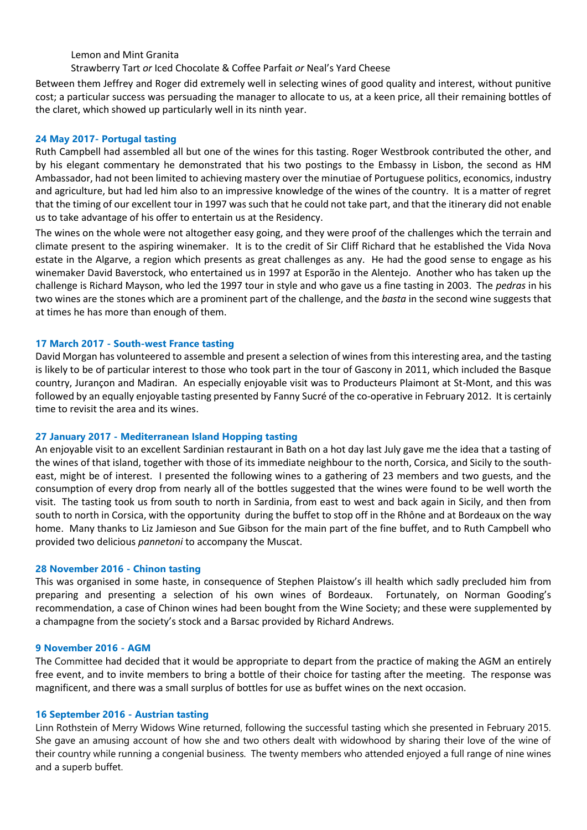Lemon and Mint Granita

Strawberry Tart *or* Iced Chocolate & Coffee Parfait *or* Neal's Yard Cheese

Between them Jeffrey and Roger did extremely well in selecting wines of good quality and interest, without punitive cost; a particular success was persuading the manager to allocate to us, at a keen price, all their remaining bottles of the claret, which showed up particularly well in its ninth year.

## **24 May 2017- Portugal tasting**

Ruth Campbell had assembled all but one of the wines for this tasting. Roger Westbrook contributed the other, and by his elegant commentary he demonstrated that his two postings to the Embassy in Lisbon, the second as HM Ambassador, had not been limited to achieving mastery over the minutiae of Portuguese politics, economics, industry and agriculture, but had led him also to an impressive knowledge of the wines of the country. It is a matter of regret that the timing of our excellent tour in 1997 was such that he could not take part, and that the itinerary did not enable us to take advantage of his offer to entertain us at the Residency.

The wines on the whole were not altogether easy going, and they were proof of the challenges which the terrain and climate present to the aspiring winemaker. It is to the credit of Sir Cliff Richard that he established the Vida Nova estate in the Algarve, a region which presents as great challenges as any. He had the good sense to engage as his winemaker David Baverstock, who entertained us in 1997 at Esporão in the Alentejo. Another who has taken up the challenge is Richard Mayson, who led the 1997 tour in style and who gave us a fine tasting in 2003. The *pedras* in his two wines are the stones which are a prominent part of the challenge, and the *basta* in the second wine suggests that at times he has more than enough of them.

## **17 March 2017 - South-west France tasting**

David Morgan has volunteered to assemble and present a selection of wines from this interesting area, and the tasting is likely to be of particular interest to those who took part in the tour of Gascony in 2011, which included the Basque country, Jurançon and Madiran. An especially enjoyable visit was to Producteurs Plaimont at St-Mont, and this was followed by an equally enjoyable tasting presented by Fanny Sucré of the co-operative in February 2012. It is certainly time to revisit the area and its wines.

#### **27 January 2017 - Mediterranean Island Hopping tasting**

An enjoyable visit to an excellent Sardinian restaurant in Bath on a hot day last July gave me the idea that a tasting of the wines of that island, together with those of its immediate neighbour to the north, Corsica, and Sicily to the southeast, might be of interest. I presented the following wines to a gathering of 23 members and two guests, and the consumption of every drop from nearly all of the bottles suggested that the wines were found to be well worth the visit. The tasting took us from south to north in Sardinia, from east to west and back again in Sicily, and then from south to north in Corsica, with the opportunity during the buffet to stop off in the Rhône and at Bordeaux on the way home. Many thanks to Liz Jamieson and Sue Gibson for the main part of the fine buffet, and to Ruth Campbell who provided two delicious *pannetoni* to accompany the Muscat.

#### **28 November 2016 - Chinon tasting**

This was organised in some haste, in consequence of Stephen Plaistow's ill health which sadly precluded him from preparing and presenting a selection of his own wines of Bordeaux. Fortunately, on Norman Gooding's recommendation, a case of Chinon wines had been bought from the Wine Society; and these were supplemented by a champagne from the society's stock and a Barsac provided by Richard Andrews.

#### **9 November 2016 - AGM**

The Committee had decided that it would be appropriate to depart from the practice of making the AGM an entirely free event, and to invite members to bring a bottle of their choice for tasting after the meeting. The response was magnificent, and there was a small surplus of bottles for use as buffet wines on the next occasion.

#### **16 September 2016 - Austrian tasting**

Linn Rothstein of Merry Widows Wine returned, following the successful tasting which she presented in February 2015. She gave an amusing account of how she and two others dealt with widowhood by sharing their love of the wine of their country while running a congenial business. The twenty members who attended enjoyed a full range of nine wines and a superb buffet.